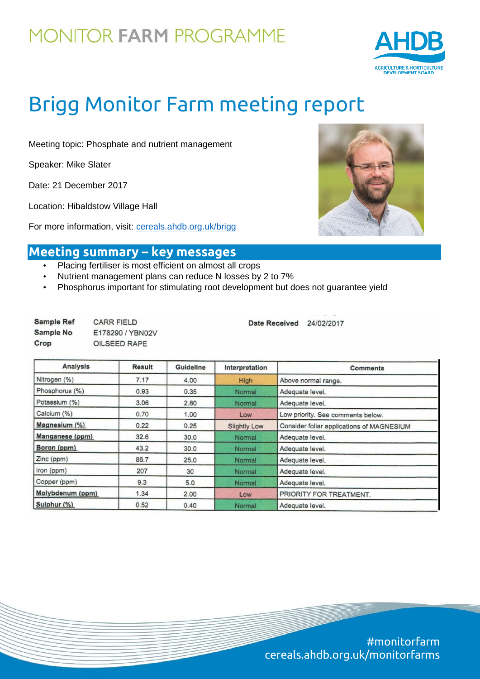

# Brigg Monitor Farm meeting report

Meeting topic: Phosphate and nutrient management

Speaker: Mike Slater

Date: 21 December 2017

Location: Hibaldstow Village Hall

For more information, visit: [cereals.ahdb.org.uk/brigg](https://cereals.ahdb.org.uk/brigg)



### **Meeting summary – key messages**

- Placing fertiliser is most efficient on almost all crops
- Nutrient management plans can reduce N losses by 2 to 7%
- Phosphorus important for stimulating root development but does not guarantee yield

| <b>Sample Ref</b> | <b>CARR FIELD</b> |
|-------------------|-------------------|
| Sample No         | E178290 / YBN02V  |
| Crop              | OILSEED RAPE      |

Date Received 24/02/2017

| <b>Analysis</b>  | Result | Guideline | Interpretation      | <b>Comments</b>                           |  |  |
|------------------|--------|-----------|---------------------|-------------------------------------------|--|--|
| Nitrogen (%)     | 7.17   | 4.00      | High                | Above normal range.                       |  |  |
| Phosphorus (%)   | 0.93   | 0.35      | Normal              | Adequate level.                           |  |  |
| Potassium (%)    | 3.06   | 2.80      | Normal              | Adequate level.                           |  |  |
| Calcium (%)      | 0.70   | 1.00      | Low                 | Low priority. See comments below.         |  |  |
| Magnesium (%)    | 0.22   | 0.25      | <b>Slightly Low</b> | Consider foliar applications of MAGNESIUM |  |  |
| Manganese (ppm)  | 32.6   | 30.0      | Normal              | Adequate level.                           |  |  |
| Boron (ppm)      | 43.2   | 30.0      | Normal              | Adequate level.                           |  |  |
| Zinc (ppm)       | 86.7   | 25.0      | Normal              | Adequate level.                           |  |  |
| Iron (ppm)       | 207    | 30        | Normal              | Adequate level.                           |  |  |
| Copper (ppm)     | 9.3    | 5.0       | Normal              | Adequate level.                           |  |  |
| Molybdenum (ppm) | 1.34   | 2.00      | Low                 | PRIORITY FOR TREATMENT.                   |  |  |
| Sulphur (%)      | 0.52   | 0.40      | Normal              | Adequate level.                           |  |  |

#monitorfarm cereals.ahdb.org.uk/monitorfarms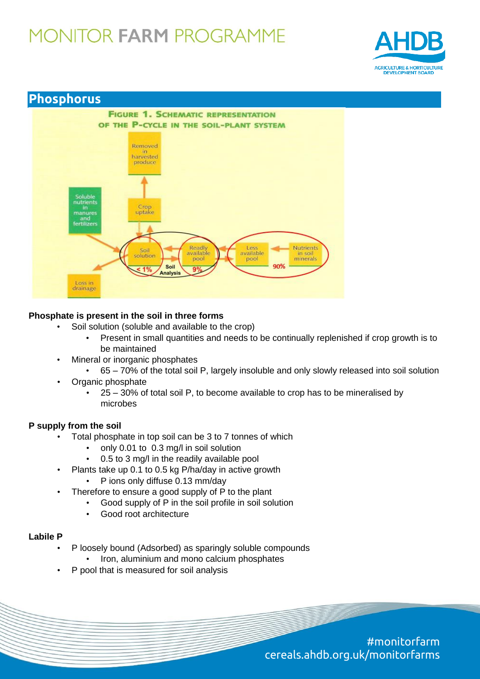



### **Phosphate is present in the soil in three forms**

- Soil solution (soluble and available to the crop)
	- Present in small quantities and needs to be continually replenished if crop growth is to be maintained
- Mineral or inorganic phosphates
	- 65 70% of the total soil P, largely insoluble and only slowly released into soil solution
- Organic phosphate
	- 25 30% of total soil P, to become available to crop has to be mineralised by microbes

### **P supply from the soil**

- Total phosphate in top soil can be 3 to 7 tonnes of which
	- only 0.01 to 0.3 mg/l in soil solution
	- 0.5 to 3 mg/l in the readily available pool
- Plants take up 0.1 to 0.5 kg P/ha/day in active growth
	- P ions only diffuse 0.13 mm/day
	- Therefore to ensure a good supply of P to the plant
		- Good supply of P in the soil profile in soil solution
		- Good root architecture

#### **Labile P**

- P loosely bound (Adsorbed) as sparingly soluble compounds
	- Iron, aluminium and mono calcium phosphates
- P pool that is measured for soil analysis

#monitorfarm cereals.ahdb.org.uk/monitorfarms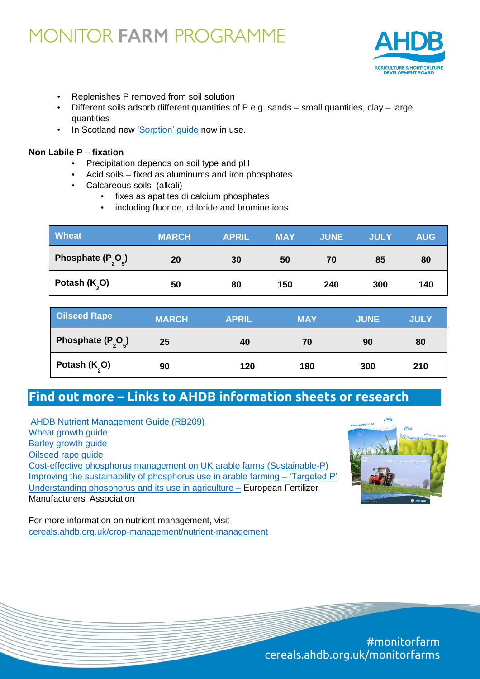

- Replenishes P removed from soil solution
- Different soils adsorb different quantities of P e.g. sands small quantities, clay large quantities
- In Scotland new ['Sorption' guide](https://www.sruc.ac.uk/downloads/file/2460/tn668_managing_soil_phosphorus_april_2015) now in use.

#### **Non Labile P – fixation**

- Precipitation depends on soil type and pH
- Acid soils fixed as aluminums and iron phosphates
- Calcareous soils (alkali)
	- fixes as apatites di calcium phosphates
	- including fluoride, chloride and bromine ions

| <b>Wheat</b>                               | <b>MARCH</b> | <b>APRIL</b> | <b>MAY</b> | <b>JUNE</b> | <b>JULY</b> | <b>AUG</b> |
|--------------------------------------------|--------------|--------------|------------|-------------|-------------|------------|
| Phosphate (P <sub>2</sub> O <sub>2</sub> ) | 20           | 30           | 50         | 70          | 85          | 80         |
| Potash $(K_0)$                             | 50           | 80           | 150        | 240         | 300         | 140        |

| <b>Oilseed Rape</b>                        | <b>MARCH</b> | <b>APRIL</b> | <b>MAY</b> | <b>JUNE</b> | <b>JULY</b> |
|--------------------------------------------|--------------|--------------|------------|-------------|-------------|
| Phosphate (P <sub>2</sub> O <sub>2</sub> ) | 25           | 40           | 70         | 90          | 80          |
| Potash (K <sub>2</sub> O)                  | 90           | 120          | 180        | 300         | 210         |

### **Find out more – Links to AHDB information sheets or research**

[AHDB Nutrient Management Guide \(RB209\)](https://ahdb.org.uk/projects/RB209.aspx)  [Wheat growth guide](https://cereals.ahdb.org.uk/media/1369551/g66-wheat-growth-guide.pdf) [Barley growth guide](https://cereals.ahdb.org.uk/media/186381/g67-barley-growth-guide.pdf) [Oilseed rape guide](https://cereals.ahdb.org.uk/media/1372911/g65-oilseed-rape-guide.pdf) [Cost-effective phosphorus management on UK arable farms \(Sustainable-P\)](https://cereals.ahdb.org.uk/publications/2018/january/02/cost-effective-phosphorus-management-on-uk-arable-farms-(sustainable-p).aspx) [Improving the sustainability of phosphorus use in arable farming –](https://cereals.ahdb.org.uk/publications/2017/june/12/improving-the-sustainability-of-phosphorus-use-in-arable-farming-–-‘targeted-p’.aspx) 'Targeted P' [Understanding phosphorus and its use in agriculture –](http://www.fertilizerseurope.com/fileadmin/user_upload/publications/agriculture_publications/EFMA_Phosphorus_booklet__2_.pdf) European Fertilizer Manufacturers' Association



For more information on nutrient management, visit [cereals.ahdb.org.uk/crop-management/nutrient-management](https://cereals.ahdb.org.uk/crop-management/nutrient-management.aspx)